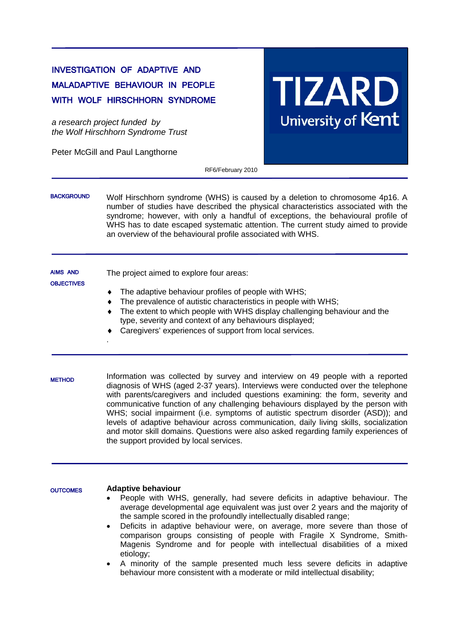# INVESTIGATION OF ADAPTIVE AND MALADAPTIVE BEHAVIOUR IN PEOPLE WITH WOLF HIRSCHHORN SYNDROME

*a research project funded by the Wolf Hirschhorn Syndrome Trust*

Peter McGill and Paul Langthorne

**TIZARD** University of Kent

RF6/February 2010

Wolf Hirschhorn syndrome (WHS) is caused by a deletion to chromosome 4p16. A number of studies have described the physical characteristics associated with the syndrome; however, with only a handful of exceptions, the behavioural profile of WHS has to date escaped systematic attention. The current study aimed to provide an overview of the behavioural profile associated with WHS. **BACKGROUND** 

The project aimed to explore four areas: The adaptive behaviour profiles of people with WHS; The prevalence of autistic characteristics in people with WHS; ♦ The extent to which people with WHS display challenging behaviour and the type, severity and context of any behaviours displayed; AIMS AND **OBJECTIVES** 

- ♦ Caregivers' experiences of support from local services.
- Information was collected by survey and interview on 49 people with a reported diagnosis of WHS (aged 2-37 years). Interviews were conducted over the telephone with parents/caregivers and included questions examining: the form, severity and communicative function of any challenging behaviours displayed by the person with WHS; social impairment (i.e. symptoms of autistic spectrum disorder (ASD)); and levels of adaptive behaviour across communication, daily living skills, socialization and motor skill domains. Questions were also asked regarding family experiences of the support provided by local services. **METHOD**

#### **Adaptive behaviour OUTCOMES**

.

- People with WHS, generally, had severe deficits in adaptive behaviour. The average developmental age equivalent was just over 2 years and the majority of the sample scored in the profoundly intellectually disabled range;
- Deficits in adaptive behaviour were, on average, more severe than those of comparison groups consisting of people with Fragile X Syndrome, Smith-Magenis Syndrome and for people with intellectual disabilities of a mixed etiology;
- A minority of the sample presented much less severe deficits in adaptive behaviour more consistent with a moderate or mild intellectual disability;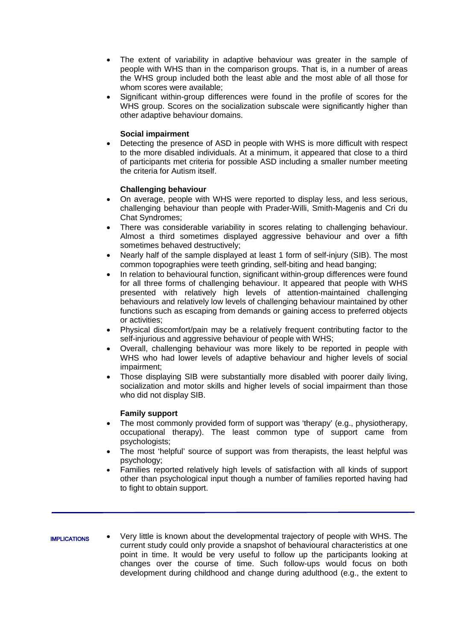- The extent of variability in adaptive behaviour was greater in the sample of people with WHS than in the comparison groups. That is, in a number of areas the WHS group included both the least able and the most able of all those for whom scores were available;
- Significant within-group differences were found in the profile of scores for the WHS group. Scores on the socialization subscale were significantly higher than other adaptive behaviour domains.

## **Social impairment**

Detecting the presence of ASD in people with WHS is more difficult with respect to the more disabled individuals. At a minimum, it appeared that close to a third of participants met criteria for possible ASD including a smaller number meeting the criteria for Autism itself.

## **Challenging behaviour**

- On average, people with WHS were reported to display less, and less serious, challenging behaviour than people with Prader-Willi, Smith-Magenis and Cri du Chat Syndromes;
- There was considerable variability in scores relating to challenging behaviour. Almost a third sometimes displayed aggressive behaviour and over a fifth sometimes behaved destructively;
- Nearly half of the sample displayed at least 1 form of self-injury (SIB). The most common topographies were teeth grinding, self-biting and head banging;
- In relation to behavioural function, significant within-group differences were found for all three forms of challenging behaviour. It appeared that people with WHS presented with relatively high levels of attention-maintained challenging behaviours and relatively low levels of challenging behaviour maintained by other functions such as escaping from demands or gaining access to preferred objects or activities;
- Physical discomfort/pain may be a relatively frequent contributing factor to the self-injurious and aggressive behaviour of people with WHS;
- Overall, challenging behaviour was more likely to be reported in people with WHS who had lower levels of adaptive behaviour and higher levels of social impairment;
- Those displaying SIB were substantially more disabled with poorer daily living, socialization and motor skills and higher levels of social impairment than those who did not display SIB.

#### **Family support**

- The most commonly provided form of support was 'therapy' (e.g., physiotherapy, occupational therapy). The least common type of support came from psychologists;
- The most 'helpful' source of support was from therapists, the least helpful was psychology;
- Families reported relatively high levels of satisfaction with all kinds of support other than psychological input though a number of families reported having had to fight to obtain support.

#### IMPLICATIONS

• Very little is known about the developmental trajectory of people with WHS. The current study could only provide a snapshot of behavioural characteristics at one point in time. It would be very useful to follow up the participants looking at changes over the course of time. Such follow-ups would focus on both development during childhood and change during adulthood (e.g., the extent to